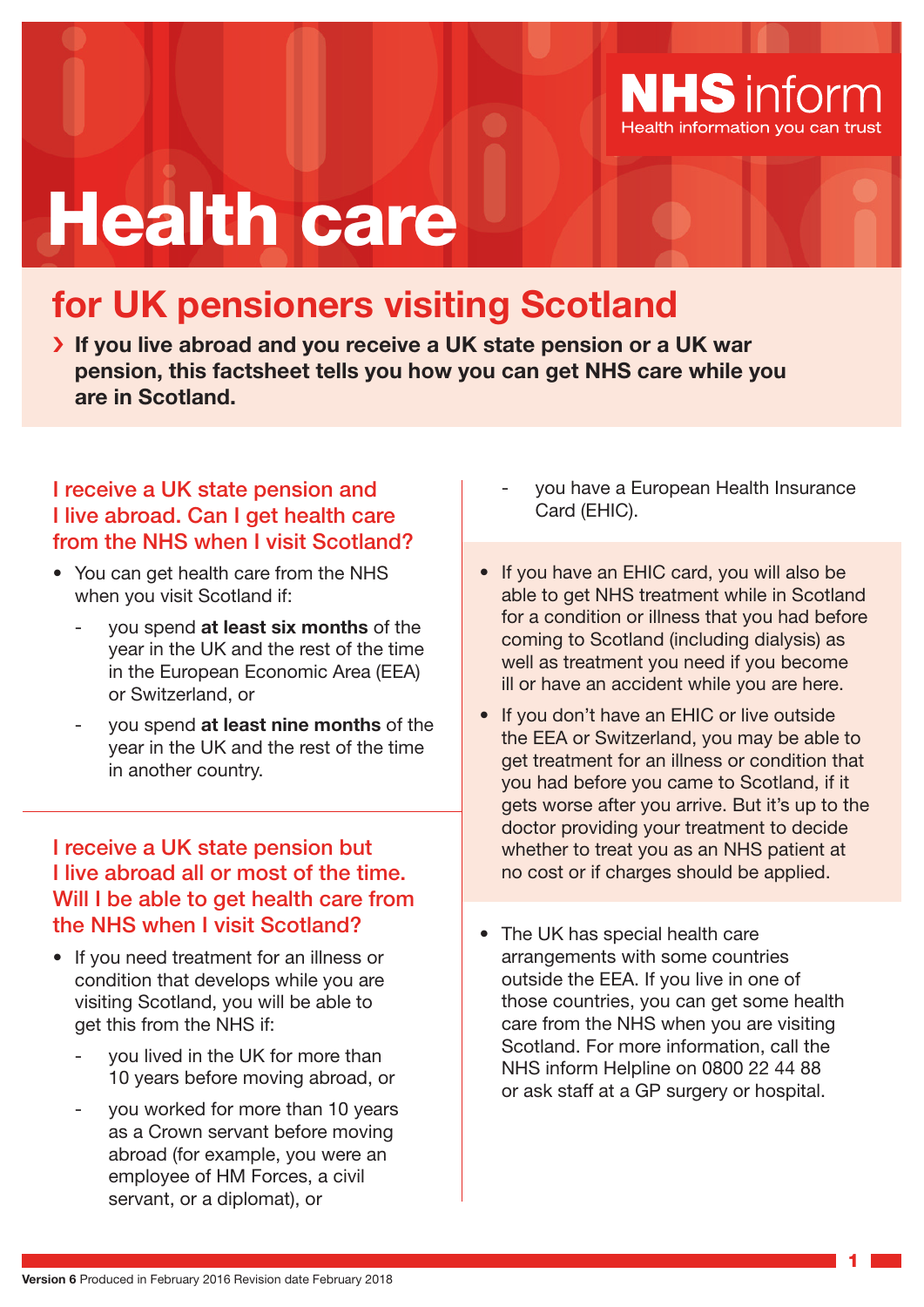

# Health care

# **for UK pensioners visiting Scotland**

› **If you live abroad and you receive a UK state pension or a UK war pension, this factsheet tells you how you can get NHS care while you are in Scotland.**

# I receive a UK state pension and I live abroad. Can I get health care from the NHS when I visit Scotland?

- You can get health care from the NHS when you visit Scotland if:
	- you spend **at least six months** of the year in the UK and the rest of the time in the European Economic Area (EEA) or Switzerland, or
	- you spend **at least nine months** of the year in the UK and the rest of the time in another country.

I receive a UK state pension but I live abroad all or most of the time. Will I be able to get health care from the NHS when I visit Scotland?

- If you need treatment for an illness or condition that develops while you are visiting Scotland, you will be able to get this from the NHS if:
	- you lived in the UK for more than 10 years before moving abroad, or
	- you worked for more than 10 years as a Crown servant before moving abroad (for example, you were an employee of HM Forces, a civil servant, or a diplomat), or
- you have a European Health Insurance Card (EHIC).
- If you have an EHIC card, you will also be able to get NHS treatment while in Scotland for a condition or illness that you had before coming to Scotland (including dialysis) as well as treatment you need if you become ill or have an accident while you are here.
- If you don't have an EHIC or live outside the EEA or Switzerland, you may be able to get treatment for an illness or condition that you had before you came to Scotland, if it gets worse after you arrive. But it's up to the doctor providing your treatment to decide whether to treat you as an NHS patient at no cost or if charges should be applied.
- The UK has special health care arrangements with some countries outside the EEA. If you live in one of those countries, you can get some health care from the NHS when you are visiting Scotland. For more information, call the NHS inform Helpline on 0800 22 44 88 or ask staff at a GP surgery or hospital.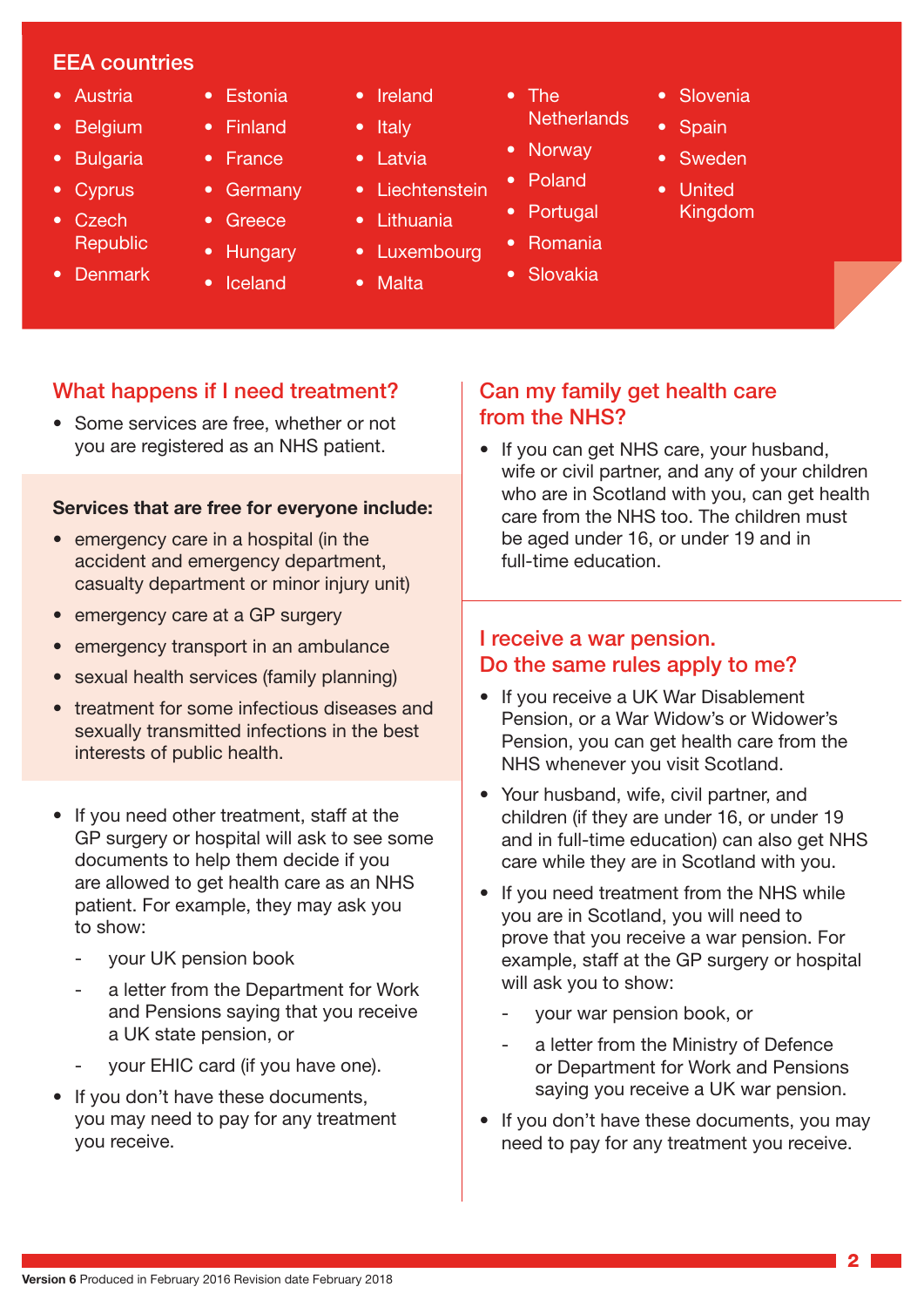## EEA countries

- Austria
- Belgium
- Bulgaria
- Cyprus
- Czech **Republic**
- Denmark
- Estonia • Finland
- France
- **Germany**
- **Greece**
- Hungary
- Iceland
- Ireland
- Italy
- Latvia
- Liechtenstein
- Lithuania
- Luxembourg
- Malta
- The **Netherlands**
- Norway
- Poland
- Portugal
- Romania
- Slovakia
- Slovenia
- Spain
- Sweden
- United Kingdom

- What happens if I need treatment?
- Some services are free, whether or not you are registered as an NHS patient.

#### **Services that are free for everyone include:**

- emergency care in a hospital (in the accident and emergency department, casualty department or minor injury unit)
- emergency care at a GP surgery
- emergency transport in an ambulance
- sexual health services (family planning)
- treatment for some infectious diseases and sexually transmitted infections in the best interests of public health.
- If you need other treatment, staff at the GP surgery or hospital will ask to see some documents to help them decide if you are allowed to get health care as an NHS patient. For example, they may ask you to show:
	- your UK pension book
	- a letter from the Department for Work and Pensions saying that you receive a UK state pension, or
	- your EHIC card (if you have one).
- If you don't have these documents, you may need to pay for any treatment you receive.

## Can my family get health care from the NHS?

• If you can get NHS care, your husband, wife or civil partner, and any of your children who are in Scotland with you, can get health care from the NHS too. The children must be aged under 16, or under 19 and in full-time education.

### I receive a war pension. Do the same rules apply to me?

- If you receive a UK War Disablement Pension, or a War Widow's or Widower's Pension, you can get health care from the NHS whenever you visit Scotland.
- Your husband, wife, civil partner, and children (if they are under 16, or under 19 and in full-time education) can also get NHS care while they are in Scotland with you.
- If you need treatment from the NHS while you are in Scotland, you will need to prove that you receive a war pension. For example, staff at the GP surgery or hospital will ask you to show:
	- your war pension book, or
	- a letter from the Ministry of Defence or Department for Work and Pensions saying you receive a UK war pension.
- If you don't have these documents, you may need to pay for any treatment you receive.